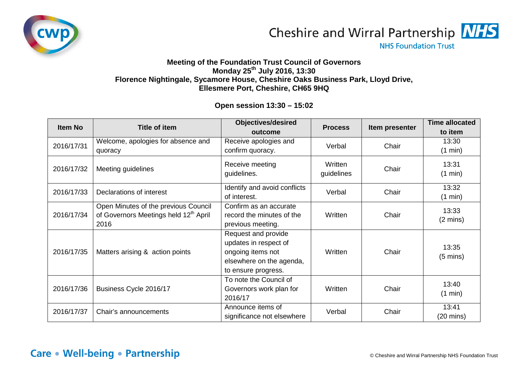



**NHS Foundation Trust** 

## **Meeting of the Foundation Trust Council of Governors Monday 25th July 2016, 13:30 Florence Nightingale, Sycamore House, Cheshire Oaks Business Park, Lloyd Drive, Ellesmere Port, Cheshire, CH65 9HQ**

## **Open session 13:30 – 15:02**

| <b>Item No</b> | <b>Title of item</b>                                                                              | <b>Objectives/desired</b><br>outcome                                                                                 | <b>Process</b>        | Item presenter | <b>Time allocated</b><br>to item |
|----------------|---------------------------------------------------------------------------------------------------|----------------------------------------------------------------------------------------------------------------------|-----------------------|----------------|----------------------------------|
| 2016/17/31     | Welcome, apologies for absence and<br>quoracy                                                     | Receive apologies and<br>confirm quoracy.                                                                            | Verbal                | Chair          | 13:30<br>(1 min)                 |
| 2016/17/32     | Meeting guidelines                                                                                | Receive meeting<br>guidelines.                                                                                       | Written<br>guidelines | Chair          | 13:31<br>(1 min)                 |
| 2016/17/33     | Declarations of interest                                                                          | Identify and avoid conflicts<br>of interest.                                                                         | Verbal                | Chair          | 13:32<br>(1 min)                 |
| 2016/17/34     | Open Minutes of the previous Council<br>of Governors Meetings held 12 <sup>th</sup> April<br>2016 | Confirm as an accurate<br>record the minutes of the<br>previous meeting.                                             | Written               | Chair          | 13:33<br>$(2 \text{ mins})$      |
| 2016/17/35     | Matters arising & action points                                                                   | Request and provide<br>updates in respect of<br>ongoing items not<br>elsewhere on the agenda,<br>to ensure progress. | Written               | Chair          | 13:35<br>$(5 \text{ mins})$      |
| 2016/17/36     | Business Cycle 2016/17                                                                            | To note the Council of<br>Governors work plan for<br>2016/17                                                         | Written               | Chair          | 13:40<br>(1 min)                 |
| 2016/17/37     | Chair's announcements                                                                             | Announce items of<br>significance not elsewhere                                                                      | Verbal                | Chair          | 13:41<br>$(20 \text{ mins})$     |

## **Care • Well-being • Partnership**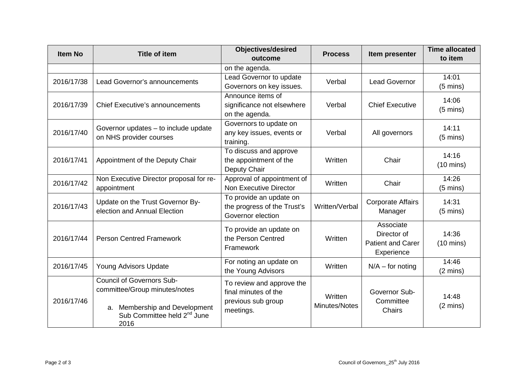| <b>Item No</b> | <b>Title of item</b>                                                                                                                                  | <b>Objectives/desired</b><br>outcome                                                 | <b>Process</b>           | Item presenter                                                     | <b>Time allocated</b><br>to item |
|----------------|-------------------------------------------------------------------------------------------------------------------------------------------------------|--------------------------------------------------------------------------------------|--------------------------|--------------------------------------------------------------------|----------------------------------|
|                |                                                                                                                                                       | on the agenda.                                                                       |                          |                                                                    |                                  |
| 2016/17/38     | Lead Governor's announcements                                                                                                                         | Lead Governor to update<br>Governors on key issues.                                  | Verbal                   | <b>Lead Governor</b>                                               | 14:01<br>$(5 \text{ mins})$      |
| 2016/17/39     | <b>Chief Executive's announcements</b>                                                                                                                | Announce items of<br>significance not elsewhere<br>on the agenda.                    | Verbal                   | <b>Chief Executive</b>                                             | 14:06<br>$(5 \text{ mins})$      |
| 2016/17/40     | Governor updates - to include update<br>on NHS provider courses                                                                                       | Governors to update on<br>any key issues, events or<br>training.                     | Verbal                   | All governors                                                      | 14:11<br>$(5 \text{ mins})$      |
| 2016/17/41     | Appointment of the Deputy Chair                                                                                                                       | To discuss and approve<br>the appointment of the<br>Deputy Chair                     | Written                  | Chair                                                              | 14:16<br>$(10 \text{ mins})$     |
| 2016/17/42     | Non Executive Director proposal for re-<br>appointment                                                                                                | Approval of appointment of<br>Non Executive Director                                 | Written                  | Chair                                                              | 14:26<br>$(5 \text{ mins})$      |
| 2016/17/43     | Update on the Trust Governor By-<br>election and Annual Election                                                                                      | To provide an update on<br>the progress of the Trust's<br>Governor election          | Written/Verbal           | <b>Corporate Affairs</b><br>Manager                                | 14:31<br>$(5 \text{ mins})$      |
| 2016/17/44     | <b>Person Centred Framework</b>                                                                                                                       | To provide an update on<br>the Person Centred<br>Framework                           | Written                  | Associate<br>Director of<br><b>Patient and Carer</b><br>Experience | 14:36<br>$(10 \text{ mins})$     |
| 2016/17/45     | Young Advisors Update                                                                                                                                 | For noting an update on<br>the Young Advisors                                        | Written                  | $N/A$ – for noting                                                 | 14:46<br>$(2 \text{ mins})$      |
| 2016/17/46     | <b>Council of Governors Sub-</b><br>committee/Group minutes/notes<br>a. Membership and Development<br>Sub Committee held 2 <sup>nd</sup> June<br>2016 | To review and approve the<br>final minutes of the<br>previous sub group<br>meetings. | Written<br>Minutes/Notes | Governor Sub-<br>Committee<br>Chairs                               | 14:48<br>$(2 \text{ mins})$      |